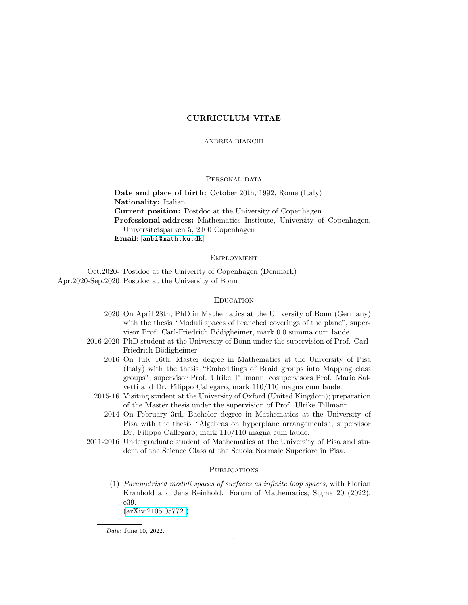# CURRICULUM VITAE

### ANDREA BIANCHI

### PERSONAL DATA

Date and place of birth: October 20th, 1992, Rome (Italy) Nationality: Italian Current position: Postdoc at the University of Copenhagen Professional address: Mathematics Institute, University of Copenhagen, Universitetsparken 5, 2100 Copenhagen Email: <anbi@math.ku.dk>

## **EMPLOYMENT**

Oct.2020- Postdoc at the Univerity of Copenhagen (Denmark) Apr.2020-Sep.2020 Postdoc at the University of Bonn

## **EDUCATION**

- 2020 On April 28th, PhD in Mathematics at the University of Bonn (Germany) with the thesis "Moduli spaces of branched coverings of the plane", supervisor Prof. Carl-Friedrich Bödigheimer, mark 0.0 summa cum laude.
- 2016-2020 PhD student at the University of Bonn under the supervision of Prof. Carl-Friedrich Bödigheimer.
	- 2016 On July 16th, Master degree in Mathematics at the University of Pisa (Italy) with the thesis "Embeddings of Braid groups into Mapping class groups", supervisor Prof. Ulrike Tillmann, cosupervisors Prof. Mario Salvetti and Dr. Filippo Callegaro, mark 110/110 magna cum laude.
	- 2015-16 Visiting student at the University of Oxford (United Kingdom); preparation of the Master thesis under the supervision of Prof. Ulrike Tillmann.
		- 2014 On February 3rd, Bachelor degree in Mathematics at the University of Pisa with the thesis "Algebras on hyperplane arrangements", supervisor Dr. Filippo Callegaro, mark 110/110 magna cum laude.
- 2011-2016 Undergraduate student of Mathematics at the University of Pisa and student of the Science Class at the Scuola Normale Superiore in Pisa.

### **PUBLICATIONS**

(1) Parametrised moduli spaces of surfaces as infinite loop spaces, with Florian Kranhold and Jens Reinhold. Forum of Mathematics, Sigma 20 (2022), e39.

[\(arXiv:2105.05772 \)](http://arxiv.org/abs/2105.05772 )

Date: June 10, 2022.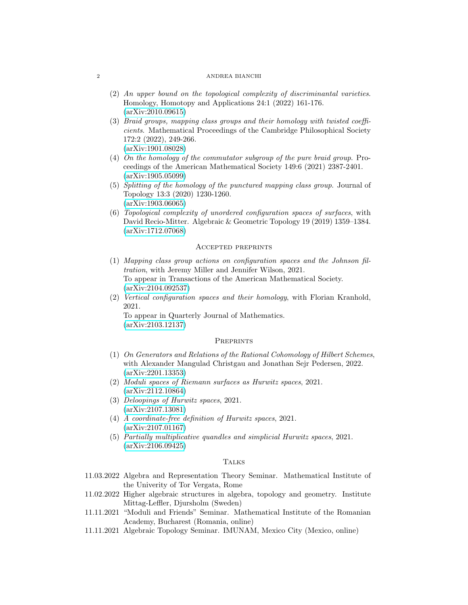#### 2 ANDREA BIANCHI

- (2) An upper bound on the topological complexity of discriminantal varieties. Homology, Homotopy and Applications 24:1 (2022) 161-176. [\(arXiv:2010.09615\)](https://arxiv.org/abs/2010.09615)
- (3) Braid groups, mapping class groups and their homology with twisted coefficients. Mathematical Proceedings of the Cambridge Philosophical Society 172:2 (2022), 249-266. [\(arXiv:1901.08028\)](https://arxiv.org/abs/1901.08028)
- (4) On the homology of the commutator subgroup of the pure braid group. Proceedings of the American Mathematical Society 149:6 (2021) 2387-2401. [\(arXiv:1905.05099\)](https://arxiv.org/abs/1905.05099)
- (5) Splitting of the homology of the punctured mapping class group. Journal of Topology 13:3 (2020) 1230-1260. [\(arXiv:1903.06065\)](https://arxiv.org/abs/1903.06065)
- (6) Topological complexity of unordered configuration spaces of surfaces, with David Recio-Mitter. Algebraic & Geometric Topology 19 (2019) 1359–1384. [\(arXiv:1712.07068\)](https://arxiv.org/abs/1712.07068)

### Accepted preprints

- (1) Mapping class group actions on configuration spaces and the Johnson filtration, with Jeremy Miller and Jennifer Wilson, 2021. To appear in Transactions of the American Mathematical Society. [\(arXiv:2104.092537\)](http://arxiv.org/abs/2104.092537)
- (2) Vertical configuration spaces and their homology, with Florian Kranhold, 2021.

To appear in Quarterly Journal of Mathematics. [\(arXiv:2103.12137\)](https://arxiv.org/abs/2103.12137)

### **PREPRINTS**

- (1) On Generators and Relations of the Rational Cohomology of Hilbert Schemes, with Alexander Mangulad Christgau and Jonathan Sejr Pedersen, 2022. [\(arXiv:2201.13353\)](http://arxiv.org/abs/2201.13353)
- (2) Moduli spaces of Riemann surfaces as Hurwitz spaces, 2021. [\(arXiv:2112.10864\)](http://arxiv.org/abs/2112.10864)
- (3) Deloopings of Hurwitz spaces, 2021. [\(arXiv:2107.13081\)](http://arxiv.org/abs/2107.13081)
- (4) A coordinate-free definition of Hurwitz spaces, 2021. [\(arXiv:2107.01167\)](http://arxiv.org/abs/2107.01167)
- (5) Partially multiplicative quandles and simplicial Hurwitz spaces, 2021. [\(arXiv:2106.09425\)](http://arxiv.org/abs/2106.09425)

### **TALKS**

- 11.03.2022 Algebra and Representation Theory Seminar. Mathematical Institute of the Univerity of Tor Vergata, Rome
- 11.02.2022 Higher algebraic structures in algebra, topology and geometry. Institute Mittag-Leffler, Djursholm (Sweden)
- 11.11.2021 "Moduli and Friends" Seminar. Mathematical Institute of the Romanian Academy, Bucharest (Romania, online)
- 11.11.2021 Algebraic Topology Seminar. IMUNAM, Mexico City (Mexico, online)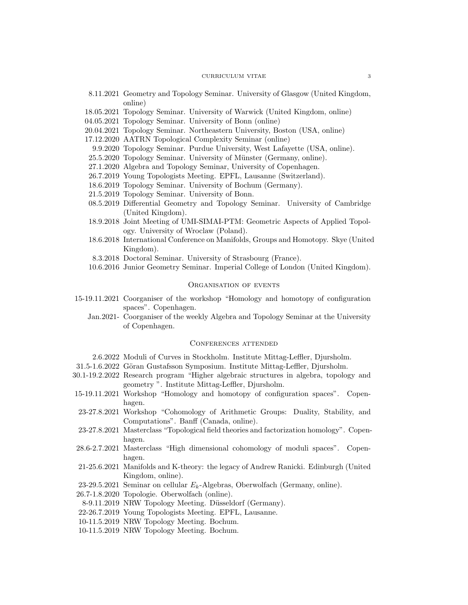#### CURRICULUM VITAE 3

- 8.11.2021 Geometry and Topology Seminar. University of Glasgow (United Kingdom, online)
- 18.05.2021 Topology Seminar. University of Warwick (United Kingdom, online)
- 04.05.2021 Topology Seminar. University of Bonn (online)
- 20.04.2021 Topology Seminar. Northeastern University, Boston (USA, online)
- 17.12.2020 AATRN Topological Complexity Seminar (online)
- 9.9.2020 Topology Seminar. Purdue University, West Lafayette (USA, online).
- 25.5.2020 Topology Seminar. University of Münster (Germany, online).
- 27.1.2020 Algebra and Topology Seminar, University of Copenhagen.
- 26.7.2019 Young Topologists Meeting. EPFL, Lausanne (Switzerland).
- 18.6.2019 Topology Seminar. University of Bochum (Germany).
- 21.5.2019 Topology Seminar. University of Bonn.
- 08.5.2019 Differential Geometry and Topology Seminar. University of Cambridge (United Kingdom).
- 18.9.2018 Joint Meeting of UMI-SIMAI-PTM: Geometric Aspects of Applied Topology. University of Wroclaw (Poland).
- 18.6.2018 International Conference on Manifolds, Groups and Homotopy. Skye (United Kingdom).
- 8.3.2018 Doctoral Seminar. University of Strasbourg (France).
- 10.6.2016 Junior Geometry Seminar. Imperial College of London (United Kingdom).

### Organisation of events

- 15-19.11.2021 Coorganiser of the workshop "Homology and homotopy of configuration spaces". Copenhagen.
	- Jan.2021- Coorganiser of the weekly Algebra and Topology Seminar at the University of Copenhagen.

#### Conferences attended

- 2.6.2022 Moduli of Curves in Stockholm. Institute Mittag-Leffler, Djursholm.
- 31.5-1.6.2022 Göran Gustafsson Symposium. Institute Mittag-Leffler, Djursholm.
- 30.1-19.2.2022 Research program "Higher algebraic structures in algebra, topology and geometry ". Institute Mittag-Leffler, Djursholm.
- 15-19.11.2021 Workshop "Homology and homotopy of configuration spaces". Copenhagen.
- 23-27.8.2021 Workshop "Cohomology of Arithmetic Groups: Duality, Stability, and Computations". Banff (Canada, online).
- 23-27.8.2021 Masterclass "Topological field theories and factorization homology". Copenhagen.
- 28.6-2.7.2021 Masterclass "High dimensional cohomology of moduli spaces". Copenhagen.
- 21-25.6.2021 Manifolds and K-theory: the legacy of Andrew Ranicki. Edinburgh (United Kingdom, online).
- 23-29.5.2021 Seminar on cellular  $E_k$ -Algebras, Oberwolfach (Germany, online).
- 26.7-1.8.2020 Topologie. Oberwolfach (online).
- 8-9.11.2019 NRW Topology Meeting. Düsseldorf (Germany).
- 22-26.7.2019 Young Topologists Meeting. EPFL, Lausanne.
- 10-11.5.2019 NRW Topology Meeting. Bochum.
- 10-11.5.2019 NRW Topology Meeting. Bochum.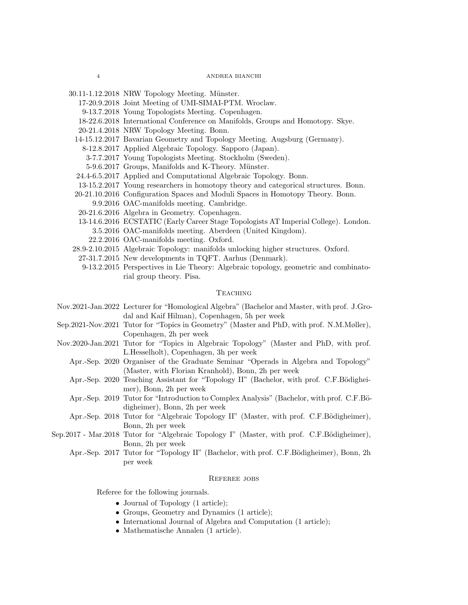- 17-20.9.2018 Joint Meeting of UMI-SIMAI-PTM. Wroclaw.
- 9-13.7.2018 Young Topologists Meeting. Copenhagen.
- 18-22.6.2018 International Conference on Manifolds, Groups and Homotopy. Skye.
- 20-21.4.2018 NRW Topology Meeting. Bonn.
- 14-15.12.2017 Bavarian Geometry and Topology Meeting. Augsburg (Germany).
	- 8-12.8.2017 Applied Algebraic Topology. Sapporo (Japan).
	- 3-7.7.2017 Young Topologists Meeting. Stockholm (Sweden).
	- 5-9.6.2017 Groups, Manifolds and K-Theory. Münster.
- 24.4-6.5.2017 Applied and Computational Algebraic Topology. Bonn.
- 13-15.2.2017 Young researchers in homotopy theory and categorical structures. Bonn.
- 20-21.10.2016 Configuration Spaces and Moduli Spaces in Homotopy Theory. Bonn.
- 9.9.2016 OAC-manifolds meeting. Cambridge.
- 20-21.6.2016 Algebra in Geometry. Copenhagen.
- 13-14.6.2016 ECSTATIC (Early Career Stage Topologists AT Imperial College). London. 3.5.2016 OAC-manifolds meeting. Aberdeen (United Kingdom).
- 22.2.2016 OAC-manifolds meeting. Oxford.
- 28.9-2.10.2015 Algebraic Topology: manifolds unlocking higher structures. Oxford.
- 27-31.7.2015 New developments in TQFT. Aarhus (Denmark).
	- 9-13.2.2015 Perspectives in Lie Theory: Algebraic topology, geometric and combinatorial group theory. Pisa.

### **TEACHING**

- Nov.2021-Jan.2022 Lecturer for "Homological Algebra" (Bachelor and Master, with prof. J.Grodal and Kaif Hilman), Copenhagen, 5h per week
- Sep.2021-Nov.2021 Tutor for "Topics in Geometry" (Master and PhD, with prof. N.M.Møller), Copenhagen, 2h per week
- Nov.2020-Jan.2021 Tutor for "Topics in Algebraic Topology" (Master and PhD, with prof. L.Hesselholt), Copenhagen, 3h per week
	- Apr.-Sep. 2020 Organiser of the Graduate Seminar "Operads in Algebra and Topology" (Master, with Florian Kranhold), Bonn, 2h per week
	- Apr.-Sep. 2020 Teaching Assistant for "Topology II" (Bachelor, with prof. C.F.Bödigheimer), Bonn, 2h per week
	- Apr.-Sep. 2019 Tutor for "Introduction to Complex Analysis" (Bachelor, with prof. C.F.Bödigheimer), Bonn, 2h per week
	- Apr.-Sep. 2018 Tutor for "Algebraic Topology II" (Master, with prof. C.F.Bödigheimer), Bonn, 2h per week
- Sep.2017 Mar.2018 Tutor for "Algebraic Topology I" (Master, with prof. C.F.Bödigheimer), Bonn, 2h per week
	- Apr.-Sep. 2017 Tutor for "Topology II" (Bachelor, with prof. C.F.Bödigheimer), Bonn, 2h per week

### REFEREE JOBS

Referee for the following journals.

- Journal of Topology (1 article);
- Groups, Geometry and Dynamics (1 article);
- International Journal of Algebra and Computation (1 article);
- Mathematische Annalen (1 article).

 $30.11-1.12.2018$  NRW Topology Meeting. Münster.